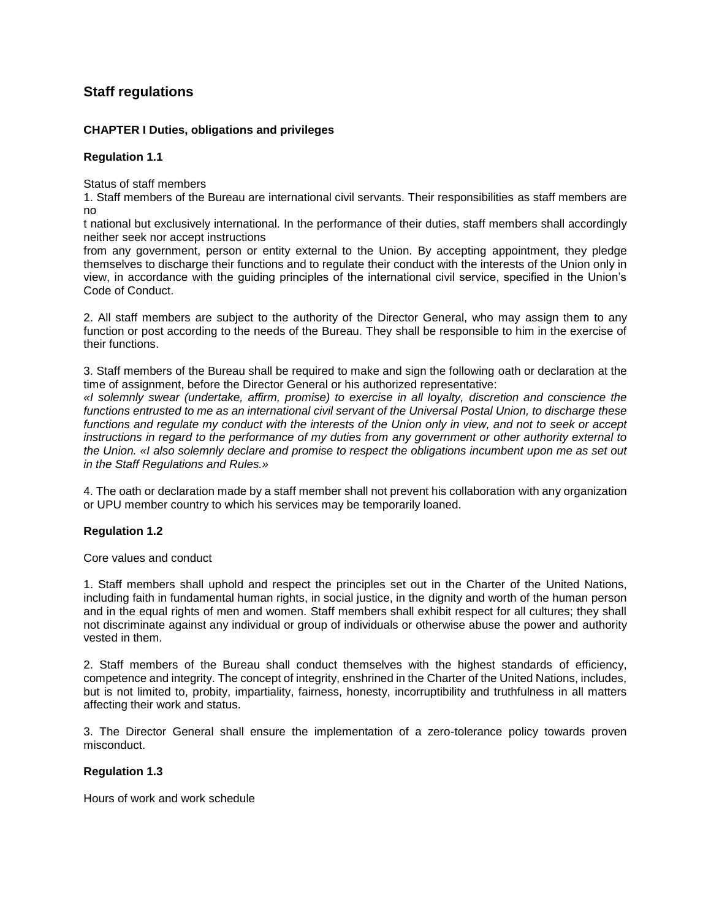# **Staff regulations**

## **CHAPTER I Duties, obligations and privileges**

## **Regulation 1.1**

Status of staff members

1. Staff members of the Bureau are international civil servants. Their responsibilities as staff members are no

t national but exclusively international. In the performance of their duties, staff members shall accordingly neither seek nor accept instructions

from any government, person or entity external to the Union. By accepting appointment, they pledge themselves to discharge their functions and to regulate their conduct with the interests of the Union only in view, in accordance with the guiding principles of the international civil service, specified in the Union's Code of Conduct.

2. All staff members are subject to the authority of the Director General, who may assign them to any function or post according to the needs of the Bureau. They shall be responsible to him in the exercise of their functions.

3. Staff members of the Bureau shall be required to make and sign the following oath or declaration at the time of assignment, before the Director General or his authorized representative:

*«I solemnly swear (undertake, affirm, promise) to exercise in all loyalty, discretion and conscience the functions entrusted to me as an international civil servant of the Universal Postal Union, to discharge these functions and regulate my conduct with the interests of the Union only in view, and not to seek or accept instructions in regard to the performance of my duties from any government or other authority external to the Union. «I also solemnly declare and promise to respect the obligations incumbent upon me as set out in the Staff Regulations and Rules.»*

4. The oath or declaration made by a staff member shall not prevent his collaboration with any organization or UPU member country to which his services may be temporarily loaned.

## **Regulation 1.2**

Core values and conduct

1. Staff members shall uphold and respect the principles set out in the Charter of the United Nations, including faith in fundamental human rights, in social justice, in the dignity and worth of the human person and in the equal rights of men and women. Staff members shall exhibit respect for all cultures; they shall not discriminate against any individual or group of individuals or otherwise abuse the power and authority vested in them.

2. Staff members of the Bureau shall conduct themselves with the highest standards of efficiency, competence and integrity. The concept of integrity, enshrined in the Charter of the United Nations, includes, but is not limited to, probity, impartiality, fairness, honesty, incorruptibility and truthfulness in all matters affecting their work and status.

3. The Director General shall ensure the implementation of a zero-tolerance policy towards proven misconduct.

## **Regulation 1.3**

Hours of work and work schedule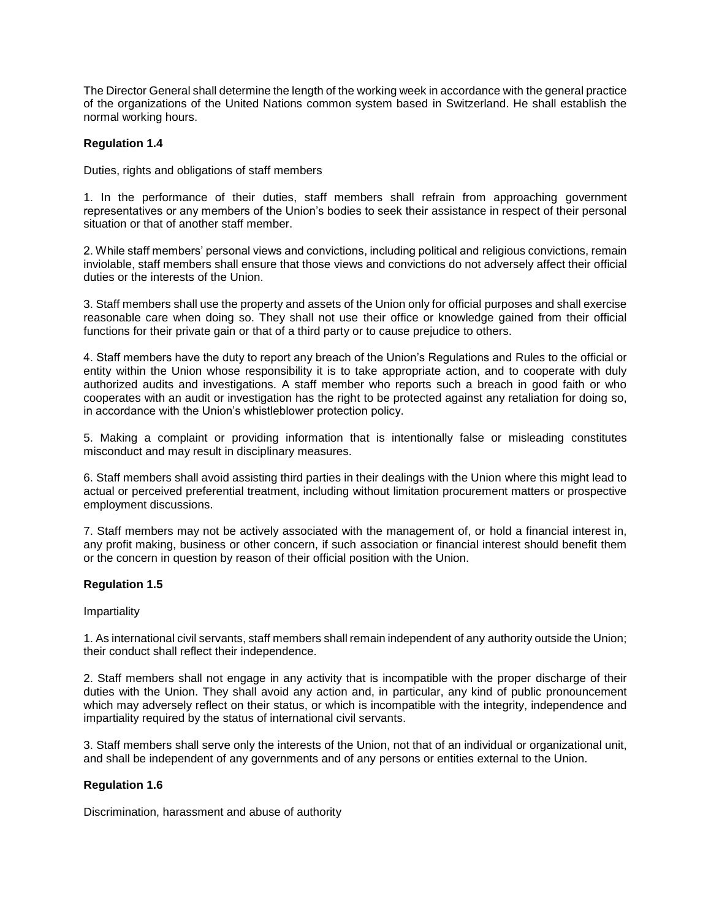The Director General shall determine the length of the working week in accordance with the general practice of the organizations of the United Nations common system based in Switzerland. He shall establish the normal working hours.

#### **Regulation 1.4**

Duties, rights and obligations of staff members

1. In the performance of their duties, staff members shall refrain from approaching government representatives or any members of the Union's bodies to seek their assistance in respect of their personal situation or that of another staff member.

2. While staff members' personal views and convictions, including political and religious convictions, remain inviolable, staff members shall ensure that those views and convictions do not adversely affect their official duties or the interests of the Union.

3. Staff members shall use the property and assets of the Union only for official purposes and shall exercise reasonable care when doing so. They shall not use their office or knowledge gained from their official functions for their private gain or that of a third party or to cause prejudice to others.

4. Staff members have the duty to report any breach of the Union's Regulations and Rules to the official or entity within the Union whose responsibility it is to take appropriate action, and to cooperate with duly authorized audits and investigations. A staff member who reports such a breach in good faith or who cooperates with an audit or investigation has the right to be protected against any retaliation for doing so, in accordance with the Union's whistleblower protection policy.

5. Making a complaint or providing information that is intentionally false or misleading constitutes misconduct and may result in disciplinary measures.

6. Staff members shall avoid assisting third parties in their dealings with the Union where this might lead to actual or perceived preferential treatment, including without limitation procurement matters or prospective employment discussions.

7. Staff members may not be actively associated with the management of, or hold a financial interest in, any profit making, business or other concern, if such association or financial interest should benefit them or the concern in question by reason of their official position with the Union.

#### **Regulation 1.5**

#### Impartiality

1. As international civil servants, staff members shall remain independent of any authority outside the Union; their conduct shall reflect their independence.

2. Staff members shall not engage in any activity that is incompatible with the proper discharge of their duties with the Union. They shall avoid any action and, in particular, any kind of public pronouncement which may adversely reflect on their status, or which is incompatible with the integrity, independence and impartiality required by the status of international civil servants.

3. Staff members shall serve only the interests of the Union, not that of an individual or organizational unit, and shall be independent of any governments and of any persons or entities external to the Union.

#### **Regulation 1.6**

Discrimination, harassment and abuse of authority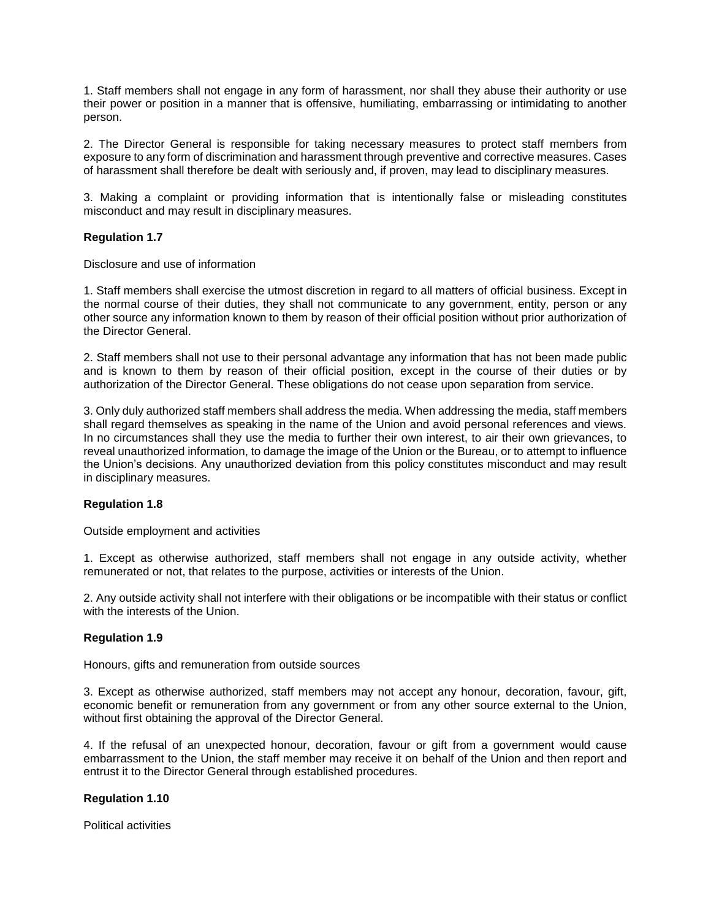1. Staff members shall not engage in any form of harassment, nor shall they abuse their authority or use their power or position in a manner that is offensive, humiliating, embarrassing or intimidating to another person.

2. The Director General is responsible for taking necessary measures to protect staff members from exposure to any form of discrimination and harassment through preventive and corrective measures. Cases of harassment shall therefore be dealt with seriously and, if proven, may lead to disciplinary measures.

3. Making a complaint or providing information that is intentionally false or misleading constitutes misconduct and may result in disciplinary measures.

### **Regulation 1.7**

Disclosure and use of information

1. Staff members shall exercise the utmost discretion in regard to all matters of official business. Except in the normal course of their duties, they shall not communicate to any government, entity, person or any other source any information known to them by reason of their official position without prior authorization of the Director General.

2. Staff members shall not use to their personal advantage any information that has not been made public and is known to them by reason of their official position, except in the course of their duties or by authorization of the Director General. These obligations do not cease upon separation from service.

3. Only duly authorized staff members shall address the media. When addressing the media, staff members shall regard themselves as speaking in the name of the Union and avoid personal references and views. In no circumstances shall they use the media to further their own interest, to air their own grievances, to reveal unauthorized information, to damage the image of the Union or the Bureau, or to attempt to influence the Union's decisions. Any unauthorized deviation from this policy constitutes misconduct and may result in disciplinary measures.

#### **Regulation 1.8**

Outside employment and activities

1. Except as otherwise authorized, staff members shall not engage in any outside activity, whether remunerated or not, that relates to the purpose, activities or interests of the Union.

2. Any outside activity shall not interfere with their obligations or be incompatible with their status or conflict with the interests of the Union

#### **Regulation 1.9**

Honours, gifts and remuneration from outside sources

3. Except as otherwise authorized, staff members may not accept any honour, decoration, favour, gift, economic benefit or remuneration from any government or from any other source external to the Union, without first obtaining the approval of the Director General.

4. If the refusal of an unexpected honour, decoration, favour or gift from a government would cause embarrassment to the Union, the staff member may receive it on behalf of the Union and then report and entrust it to the Director General through established procedures.

#### **Regulation 1.10**

Political activities